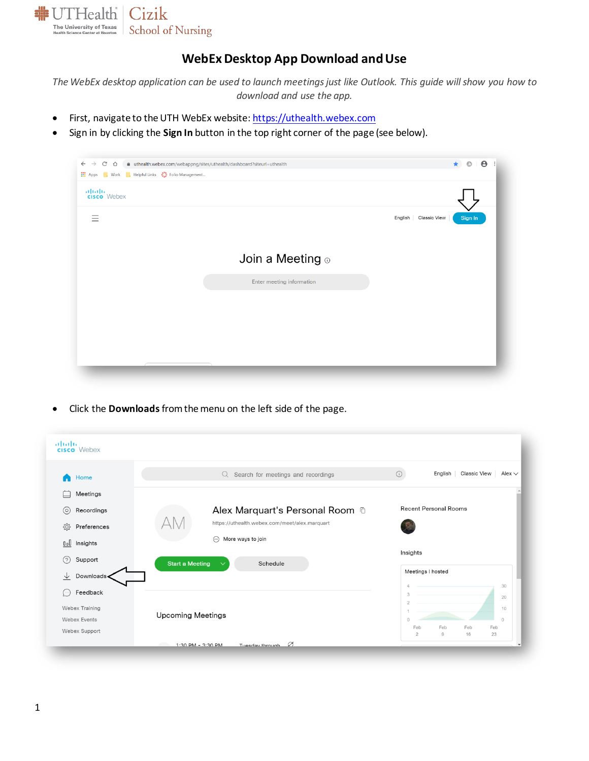

## **WebEx Desktop App Download and Use**

*The WebEx desktop application can be used to launch meetings just like Outlook. This guide will show you how to download and use the app.*

- First, navigate to the UTH WebEx website[: https://uthealth.webex.com](https://uthealth.webex.com/webappng/sites/uthealth/dashboard?siteurl=uthealth)
- Sign in by clicking the **Sign In** button in the top right corner of the page (see below).

| <b>Nork R</b> Helpful Links $\mathbf{C}^{\bullet}$ Folio Management<br><b>III</b> Apps |                           |                                   |
|----------------------------------------------------------------------------------------|---------------------------|-----------------------------------|
| alulu<br>cisco Webex                                                                   |                           |                                   |
| Ξ                                                                                      |                           | English   Classic View<br>Sign In |
|                                                                                        |                           |                                   |
|                                                                                        | Join a Meeting o          |                                   |
|                                                                                        | Enter meeting information |                                   |
|                                                                                        |                           |                                   |
|                                                                                        |                           |                                   |
|                                                                                        |                           |                                   |
|                                                                                        |                           |                                   |

• Click the **Downloads** from the menu on the left side of the page.

| Home<br>A             | $Q$ Search for meetings and recordings             | Classic View<br>$\odot$<br>English<br>Alex $\vee$ |
|-----------------------|----------------------------------------------------|---------------------------------------------------|
| Meetings              |                                                    |                                                   |
| Recordings<br>$\circ$ | Alex Marquart's Personal Room <sup>fo</sup>        | <b>Recent Personal Rooms</b>                      |
| දුරි<br>Preferences   | https://uthealth.webex.com/meet/alex.marquart      |                                                   |
| Dol Insights          | $\odot$<br>More ways to join                       |                                                   |
| (2)<br>Support        | <b>Start a Meeting</b><br>Schedule<br>$\checkmark$ | Insights                                          |
| ↓<br>Downloads        |                                                    | Meetings I hosted                                 |
| Feedback              |                                                    | 30<br>20                                          |
| Webex Training        |                                                    | 10                                                |
| <b>Webex Events</b>   | <b>Upcoming Meetings</b>                           | $\circ$                                           |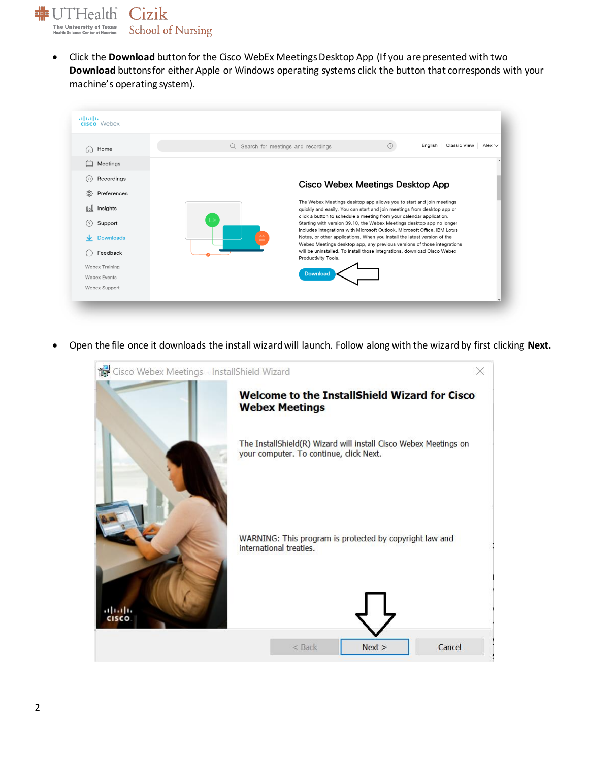Cizik **非UTHealth The University of Texas**<br>Health Science Center at Houston **School of Nursing** 

> • Click the **Download** button for the Cisco WebEx Meetings Desktop App (If you are presented with two **Download** buttons for either Apple or Windows operating systems click the button that corresponds with your machine's operating system).



• Open the file once it downloads the install wizard will launch. Follow along with the wizard by first clicking **Next.**

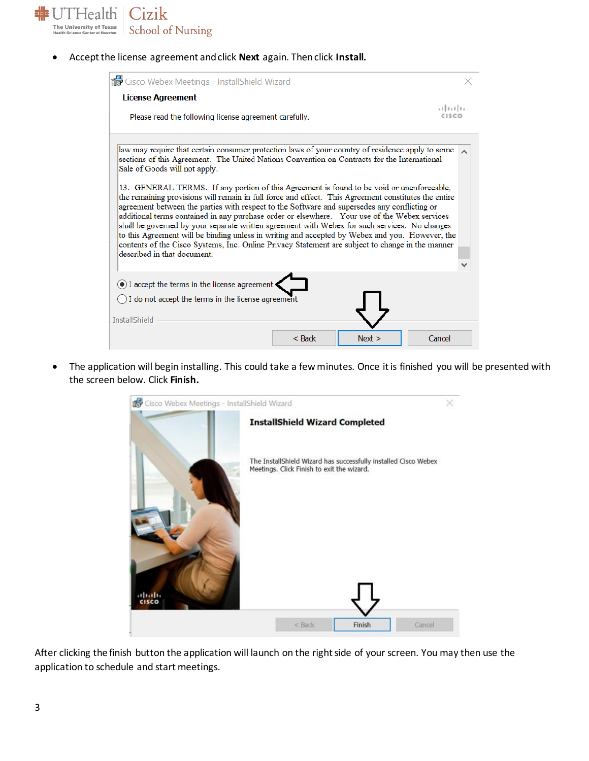

• Accept the license agreement and click **Next** again. Then click **Install.**

| do Cisco Webex Meetings - InstallShield Wizard                                                                                                                                                                                                                                                                                                                                                                                                                                                                                                                                                                                                                                                                                                                                                                                                                                                                                                                                 |                 |
|--------------------------------------------------------------------------------------------------------------------------------------------------------------------------------------------------------------------------------------------------------------------------------------------------------------------------------------------------------------------------------------------------------------------------------------------------------------------------------------------------------------------------------------------------------------------------------------------------------------------------------------------------------------------------------------------------------------------------------------------------------------------------------------------------------------------------------------------------------------------------------------------------------------------------------------------------------------------------------|-----------------|
| <b>License Agreement</b><br>Please read the following license agreement carefully.                                                                                                                                                                                                                                                                                                                                                                                                                                                                                                                                                                                                                                                                                                                                                                                                                                                                                             | 11.11.<br>CISCO |
| law may require that certain consumer protection laws of your country of residence apply to some<br>sections of this Agreement. The United Nations Convention on Contracts for the International<br>Sale of Goods will not apply.<br>13. GENERAL TERMS. If any portion of this Agreement is found to be void or unenforceable,<br>the remaining provisions will remain in full force and effect. This Agreement constitutes the entire<br>agreement between the parties with respect to the Software and supersedes any conflicting or<br>additional terms contained in any purchase order or elsewhere. Your use of the Webex services<br>shall be governed by your separate written agreement with Webex for such services. No changes<br>to this Agreement will be binding unless in writing and accepted by Webex and you. However, the<br>contents of the Cisco Systems, Inc. Online Privacy Statement are subject to change in the manner<br>described in that document. |                 |
| I accept the terms in the license agreement<br>$\bigcirc$ I do not accept the terms in the license agreement<br><b>InstallShield</b>                                                                                                                                                                                                                                                                                                                                                                                                                                                                                                                                                                                                                                                                                                                                                                                                                                           |                 |
| Next<br>$<$ Back                                                                                                                                                                                                                                                                                                                                                                                                                                                                                                                                                                                                                                                                                                                                                                                                                                                                                                                                                               | Cancel          |

• The application will begin installing. This could take a few minutes. Once it is finished you will be presented with the screen below. Click **Finish.**



After clicking the finish button the application will launch on the right side of your screen. You may then use the application to schedule and start meetings.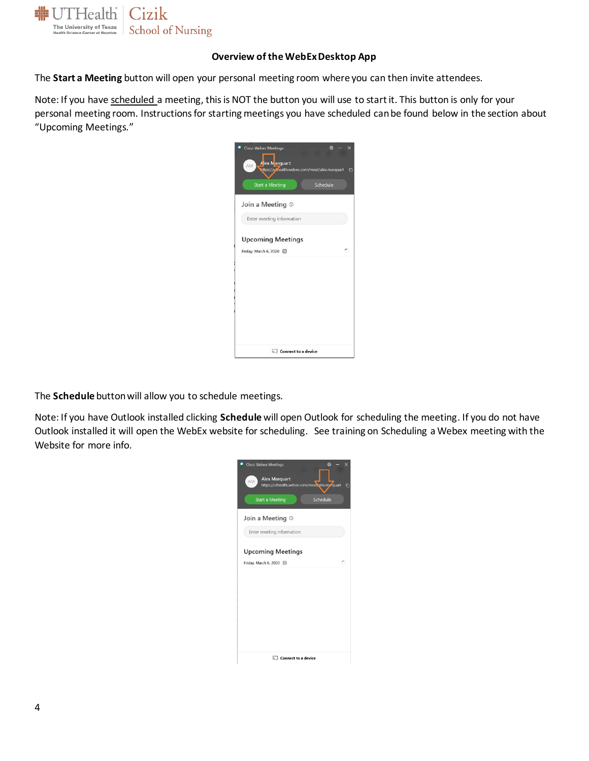

## **Overview of the WebEx Desktop App**

The **Start a Meeting** button will open your personal meeting room where you can then invite attendees.

Note: If you have scheduled a meeting, this is NOT the button you will use to start it. This button is only for your personal meeting room. Instructions for starting meetings you have scheduled can be found below in the section about "Upcoming Meetings."



The **Schedule** button will allow you to schedule meetings.

Note: If you have Outlook installed clicking **Schedule** will open Outlook for scheduling the meeting. If you do not have Outlook installed it will open the WebEx website for scheduling. See training on Scheduling a Webex meeting with the Website for more info.